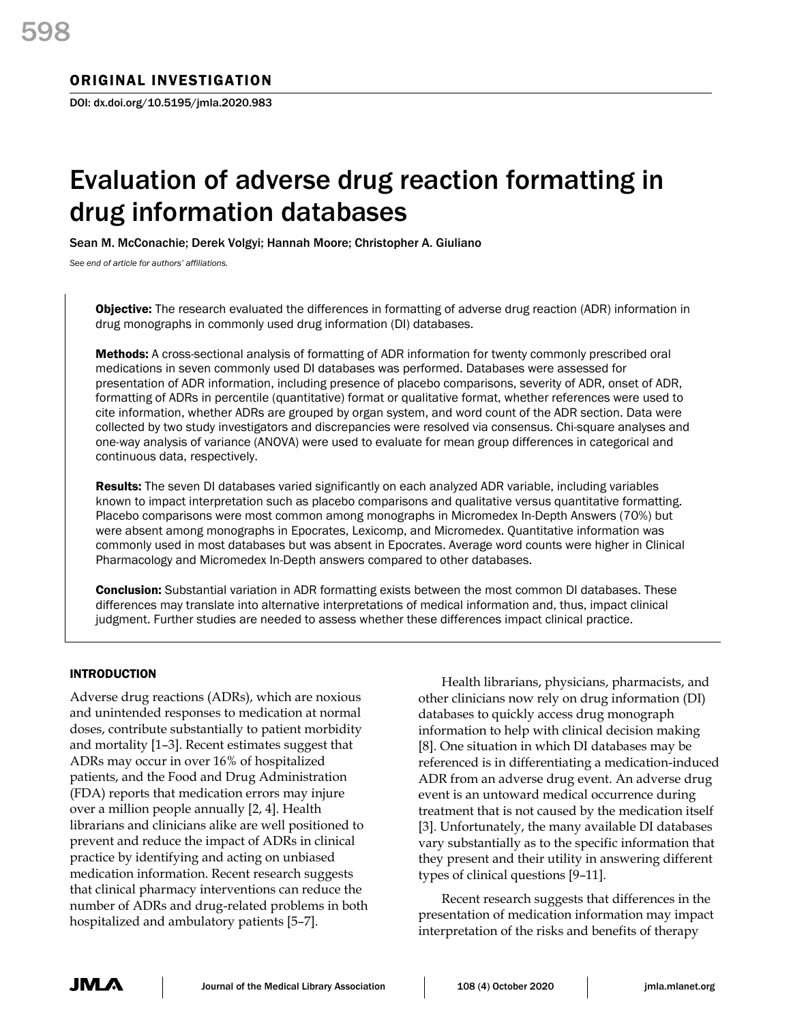# Evaluation of adverse drug reaction formatting in drug information databases

Sean M. McConachie; Derek Volgyi; Hannah Moore; Christopher A. Giuliano

*See end of article for authors' affiliations.*

**Objective:** The research evaluated the differences in formatting of adverse drug reaction (ADR) information in drug monographs in commonly used drug information (DI) databases.

Methods: A cross-sectional analysis of formatting of ADR information for twenty commonly prescribed oral medications in seven commonly used DI databases was performed. Databases were assessed for presentation of ADR information, including presence of placebo comparisons, severity of ADR, onset of ADR, formatting of ADRs in percentile (quantitative) format or qualitative format, whether references were used to cite information, whether ADRs are grouped by organ system, and word count of the ADR section. Data were collected by two study investigators and discrepancies were resolved via consensus. Chi-square analyses and one-way analysis of variance (ANOVA) were used to evaluate for mean group differences in categorical and continuous data, respectively.

**Results:** The seven DI databases varied significantly on each analyzed ADR variable, including variables known to impact interpretation such as placebo comparisons and qualitative versus quantitative formatting. Placebo comparisons were most common among monographs in Micromedex In-Depth Answers (70%) but were absent among monographs in Epocrates, Lexicomp, and Micromedex. Quantitative information was commonly used in most databases but was absent in Epocrates. Average word counts were higher in Clinical Pharmacology and Micromedex In-Depth answers compared to other databases.

**Conclusion:** Substantial variation in ADR formatting exists between the most common DI databases. These differences may translate into alternative interpretations of medical information and, thus, impact clinical judgment. Further studies are needed to assess whether these differences impact clinical practice.

# INTRODUCTION

Adverse drug reactions (ADRs), which are noxious and unintended responses to medication at normal doses, contribute substantially to patient morbidity and mortality [1–3]. Recent estimates suggest that ADRs may occur in over 16% of hospitalized patients, and the Food and Drug Administration (FDA) reports that medication errors may injure over a million people annually [2, 4]. Health librarians and clinicians alike are well positioned to prevent and reduce the impact of ADRs in clinical practice by identifying and acting on unbiased medication information. Recent research suggests that clinical pharmacy interventions can reduce the number of ADRs and drug-related problems in both hospitalized and ambulatory patients [5–7].

Health librarians, physicians, pharmacists, and other clinicians now rely on drug information (DI) databases to quickly access drug monograph information to help with clinical decision making [8]. One situation in which DI databases may be referenced is in differentiating a medication-induced ADR from an adverse drug event. An adverse drug event is an untoward medical occurrence during treatment that is not caused by the medication itself [3]. Unfortunately, the many available DI databases vary substantially as to the specific information that they present and their utility in answering different types of clinical questions [9–11].

Recent research suggests that differences in the presentation of medication information may impact interpretation of the risks and benefits of therapy

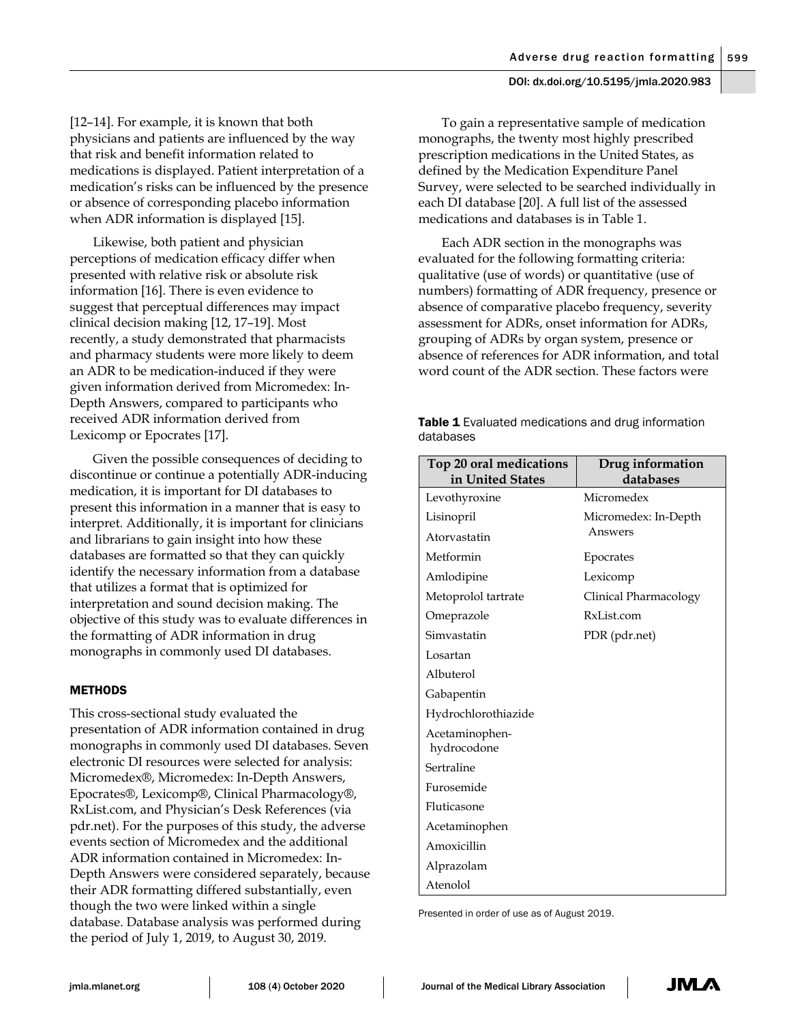[12–14]. For example, it is known that both physicians and patients are influenced by the way that risk and benefit information related to medications is displayed. Patient interpretation of a medication's risks can be influenced by the presence or absence of corresponding placebo information when ADR information is displayed [15].

Likewise, both patient and physician perceptions of medication efficacy differ when presented with relative risk or absolute risk information [16]. There is even evidence to suggest that perceptual differences may impact clinical decision making [12, 17–19]. Most recently, a study demonstrated that pharmacists and pharmacy students were more likely to deem an ADR to be medication-induced if they were given information derived from Micromedex: In-Depth Answers, compared to participants who received ADR information derived from Lexicomp or Epocrates [17].

Given the possible consequences of deciding to discontinue or continue a potentially ADR-inducing medication, it is important for DI databases to present this information in a manner that is easy to interpret. Additionally, it is important for clinicians and librarians to gain insight into how these databases are formatted so that they can quickly identify the necessary information from a database that utilizes a format that is optimized for interpretation and sound decision making. The objective of this study was to evaluate differences in the formatting of ADR information in drug monographs in commonly used DI databases.

# **METHODS**

This cross-sectional study evaluated the presentation of ADR information contained in drug monographs in commonly used DI databases. Seven electronic DI resources were selected for analysis: Micromedex®, Micromedex: In-Depth Answers, Epocrates®, Lexicomp®, Clinical Pharmacology®, RxList.com, and Physician's Desk References (via pdr.net). For the purposes of this study, the adverse events section of Micromedex and the additional ADR information contained in Micromedex: In-Depth Answers were considered separately, because their ADR formatting differed substantially, even though the two were linked within a single database. Database analysis was performed during the period of July 1, 2019, to August 30, 2019.

To gain a representative sample of medication monographs, the twenty most highly prescribed prescription medications in the United States, as defined by the Medication Expenditure Panel Survey, were selected to be searched individually in each DI database [20]. A full list of the assessed medications and databases is in Table 1.

Each ADR section in the monographs was evaluated for the following formatting criteria: qualitative (use of words) or quantitative (use of numbers) formatting of ADR frequency, presence or absence of comparative placebo frequency, severity assessment for ADRs, onset information for ADRs, grouping of ADRs by organ system, presence or absence of references for ADR information, and total word count of the ADR section. These factors were

Table 1 Evaluated medications and drug information databases

| Top 20 oral medications<br>in United States | Drug information<br>databases   |
|---------------------------------------------|---------------------------------|
| Levothyroxine                               | Micromedex                      |
| Lisinopril                                  | Micromedex: In-Depth<br>Answers |
| Atorvastatin                                |                                 |
| Metformin                                   | Epocrates                       |
| Amlodipine                                  | Lexicomp                        |
| Metoprolol tartrate                         | Clinical Pharmacology           |
| Omeprazole                                  | RxList.com                      |
| Simvastatin                                 | PDR (pdr.net)                   |
| Losartan                                    |                                 |
| Albuterol                                   |                                 |
| Gabapentin                                  |                                 |
| Hydrochlorothiazide                         |                                 |
| Acetaminophen-<br>hydrocodone               |                                 |
| Sertraline                                  |                                 |
| Furosemide                                  |                                 |
| Fluticasone                                 |                                 |
| Acetaminophen                               |                                 |
| Amoxicillin                                 |                                 |
| Alprazolam                                  |                                 |
| Atenolol                                    |                                 |

Presented in order of use as of August 2019.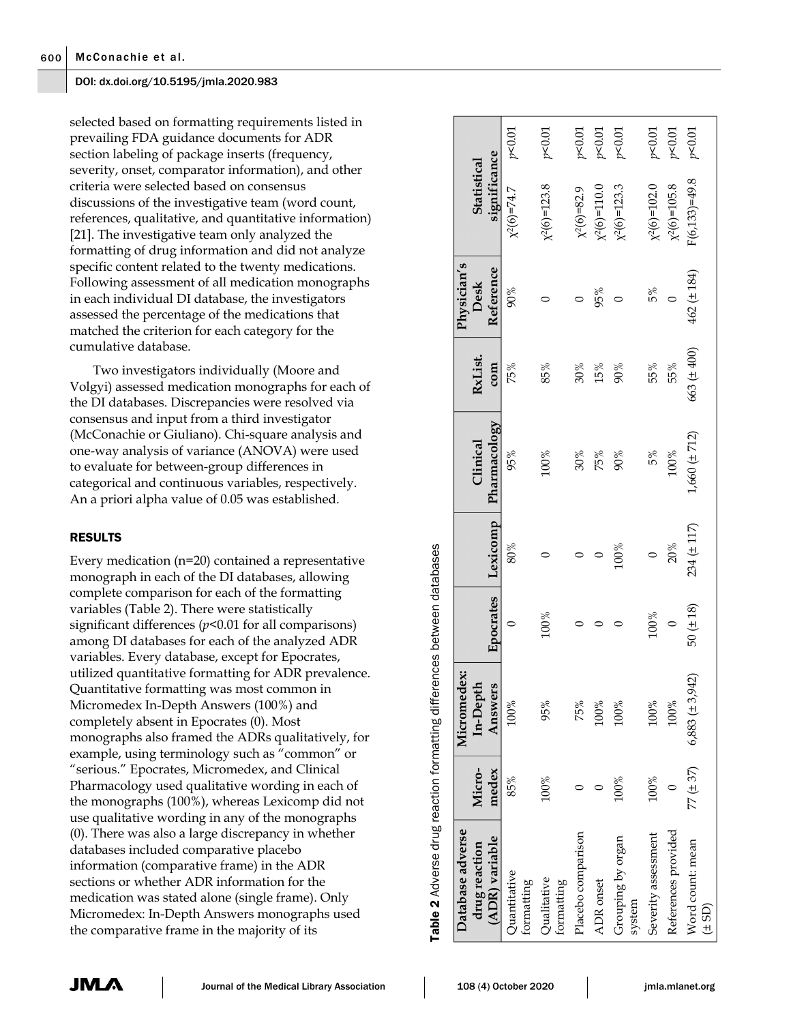selected based on formatting requirements listed in prevailing FDA guidance documents for ADR section labeling of package inserts (frequency, severity, onset, comparator information), and other criteria were selected based on consensus discussions of the investigative team (word count, references, qualitative, and quantitative information) [21]. The investigative team only analyzed the formatting of drug information and did not analyze specific content related to the twenty medications. Following assessment of all medication monographs in each individual DI database, the investigators assessed the percentage of the medications that matched the criterion for each category for the cumulative database.

Two investigators individually (Moore and Volgyi) assessed medication monographs for each of the DI databases. Discrepancies were resolved via consensus and input from a third investigator (McConachie or Giuliano). Chi-square analysis and one-way analysis of variance (ANOVA) were used to evaluate for between-group differences in categorical and continuous variables, respectively. An a priori alpha value of 0.05 was established.

# RESULTS

Every medication (n=20) contained a representative monograph in each of the DI databases, allowing complete comparison for each of the formatting variables (Table 2). There were statistically significant differences (*p*<0.01 for all comparisons) among DI databases for each of the analyzed ADR variables. Every database, except for Epocrates, utilized quantitative formatting for ADR prevalence. Quantitative formatting was most common in Micromedex In-Depth Answers (100%) and completely absent in Epocrates (0). Most monographs also framed the ADRs qualitatively, for example, using terminology such as "common" or "serious." Epocrates, Micromedex, and Clinical Pharmacology used qualitative wording in each of the monographs (100%), whereas Lexicomp did not use qualitative wording in any of the monographs (0). There was also a large discrepancy in whether databases included comparative placebo information (comparative frame) in the ADR sections or whether ADR information for the medication was stated alone (single frame). Only Micromedex: In-Depth Answers monographs used the comparative frame in the majority of its

 $p<0.01$  $p<0.01$  $p > 0.01$  $p > 0.01$  $p > 0.01$  $p<0.01$  $p<0.01$  $p > 0.01$ χ2(6)=74.7 *p*<0.01 1010V4 8.62T=(9)(x 200.02 pp and a search of a search of a search of a search of a search of a search of a search o Placebo comparison 0 75% 0 0 30% 30% 0 χ2(6)=82.9 *p*<0.01  $\chi^2(6)=110.0$  *p*<0.01 100% 100% 0 100% 90% 90% 0 χ2(6)=123.3 *p*<0.01  $\chi^2(6)=102.0$  *p*<0.01 References provided 0 2 % 0 200 2 200 0 2 % 0 201 0 0 201 0 0 201 0 101 0 101 0 101 0 101 0 101 0 101 0 101 0 1 77 (± 37) 6,883 (± 3,942) 50 (± 18) 234 (± 117) 1,660 (± 712) 663 (± 400) 462 (± 184) F(6,133)=49.8 *p*<0.01significance **significance Statistical Statistical**  $(6, 133) = 49.8$  $x^2(6)=123.8$  $x^2(6)=102.0$  $x^2(6)=105.8$  $\chi^2(6)=110.0$  $(2(6)=123.3)$  $x^2(6)=74.7$  $\chi^2(6)=82.9$ Physician's **Physician's**  Reference **Reference**  $(\pm 184)$ **Desk**   $90%$  $5%$ 85% 100% 0 80% 95% 75% 90%  $95%$ ADR onset  $0$  0 0 0 0 0 0 0 0 0 0 0 0 0  $0^{\circ}$  $S^8$  55%  $S^8$  55%  $S^8$  100%  $S^8$  100%  $S^8$  100%  $S^8$  55%  $S^8$  $\circ$  $\circ$  $\circ$  $\circ$  $162$  $(±400)$ **RxList.** 75% 85%  $30%$ 55% 55% **com** 15%  $90%$ 563 Pharmacology **Pharmacology**  $1,660 (\pm 712)$ **Clinical**  Clinical 95% 100%  $100%$  $30%$ 75%  $90%$ 5% Lexicomp **Answers Epocrates Lexicomp**  $234 (+ 117)$ 100%  $20%$  $80%$  $\circ$  $\circ$  $\circ$  $\circ$ Epocrates  $50 (+ 18)$  $100\%$ 100%  $\circ$  $\circ$  $\overline{\phantom{0}}$  $\subset$ **Micromedex:**  Micromedex:  $6,883 (\pm 3,942)$ **In-Depth**  Answers 100% 95%  $100\%$ 100%  $100%$ 100% 75% **Micromedex**  $77(±37)$ 85%  $100\%$ 100% 100%  $\circ$  $\circ$  $\circ$ **Database adverse**  Database adverse References provided Placebo comparison Severity assessment Grouping by organ Grouping by organ (ADR) variable **(ADR) variable** Word count: mean Word count: mean **drug reaction**  drug reaction Quantitative Quantitative Qualitative Qualitative ADR onset formatting formatting system (± SD)

Table ่ **2** Adverse drug reaction formatting differences between databases

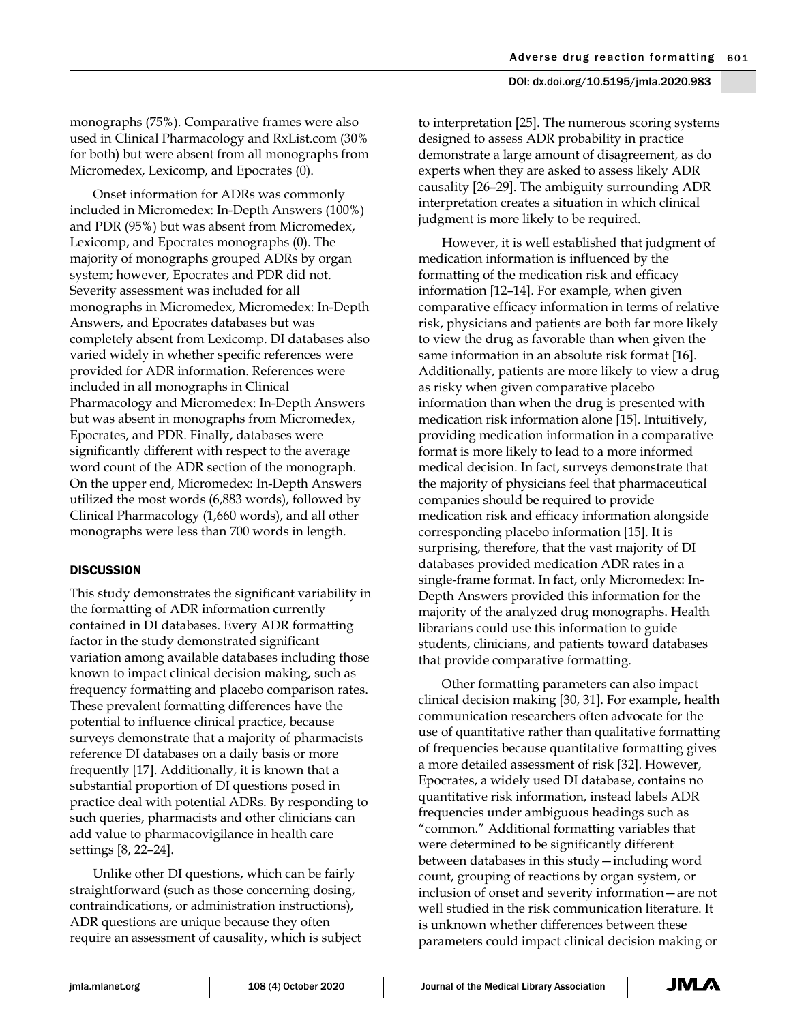monographs (75%). Comparative frames were also used in Clinical Pharmacology and RxList.com (30% for both) but were absent from all monographs from Micromedex, Lexicomp, and Epocrates (0).

Onset information for ADRs was commonly included in Micromedex: In-Depth Answers (100%) and PDR (95%) but was absent from Micromedex, Lexicomp, and Epocrates monographs (0). The majority of monographs grouped ADRs by organ system; however, Epocrates and PDR did not. Severity assessment was included for all monographs in Micromedex, Micromedex: In-Depth Answers, and Epocrates databases but was completely absent from Lexicomp. DI databases also varied widely in whether specific references were provided for ADR information. References were included in all monographs in Clinical Pharmacology and Micromedex: In-Depth Answers but was absent in monographs from Micromedex, Epocrates, and PDR. Finally, databases were significantly different with respect to the average word count of the ADR section of the monograph. On the upper end, Micromedex: In-Depth Answers utilized the most words (6,883 words), followed by Clinical Pharmacology (1,660 words), and all other monographs were less than 700 words in length.

# **DISCUSSION**

This study demonstrates the significant variability in the formatting of ADR information currently contained in DI databases. Every ADR formatting factor in the study demonstrated significant variation among available databases including those known to impact clinical decision making, such as frequency formatting and placebo comparison rates. These prevalent formatting differences have the potential to influence clinical practice, because surveys demonstrate that a majority of pharmacists reference DI databases on a daily basis or more frequently [17]. Additionally, it is known that a substantial proportion of DI questions posed in practice deal with potential ADRs. By responding to such queries, pharmacists and other clinicians can add value to pharmacovigilance in health care settings [8, 22–24].

Unlike other DI questions, which can be fairly straightforward (such as those concerning dosing, contraindications, or administration instructions), ADR questions are unique because they often require an assessment of causality, which is subject

to interpretation [25]. The numerous scoring systems designed to assess ADR probability in practice demonstrate a large amount of disagreement, as do experts when they are asked to assess likely ADR causality [26–29]. The ambiguity surrounding ADR interpretation creates a situation in which clinical judgment is more likely to be required.

However, it is well established that judgment of medication information is influenced by the formatting of the medication risk and efficacy information [12–14]. For example, when given comparative efficacy information in terms of relative risk, physicians and patients are both far more likely to view the drug as favorable than when given the same information in an absolute risk format [16]. Additionally, patients are more likely to view a drug as risky when given comparative placebo information than when the drug is presented with medication risk information alone [15]. Intuitively, providing medication information in a comparative format is more likely to lead to a more informed medical decision. In fact, surveys demonstrate that the majority of physicians feel that pharmaceutical companies should be required to provide medication risk and efficacy information alongside corresponding placebo information [15]. It is surprising, therefore, that the vast majority of DI databases provided medication ADR rates in a single-frame format. In fact, only Micromedex: In-Depth Answers provided this information for the majority of the analyzed drug monographs. Health librarians could use this information to guide students, clinicians, and patients toward databases that provide comparative formatting.

Other formatting parameters can also impact clinical decision making [30, 31]. For example, health communication researchers often advocate for the use of quantitative rather than qualitative formatting of frequencies because quantitative formatting gives a more detailed assessment of risk [32]. However, Epocrates, a widely used DI database, contains no quantitative risk information, instead labels ADR frequencies under ambiguous headings such as "common." Additional formatting variables that were determined to be significantly different between databases in this study—including word count, grouping of reactions by organ system, or inclusion of onset and severity information—are not well studied in the risk communication literature. It is unknown whether differences between these parameters could impact clinical decision making or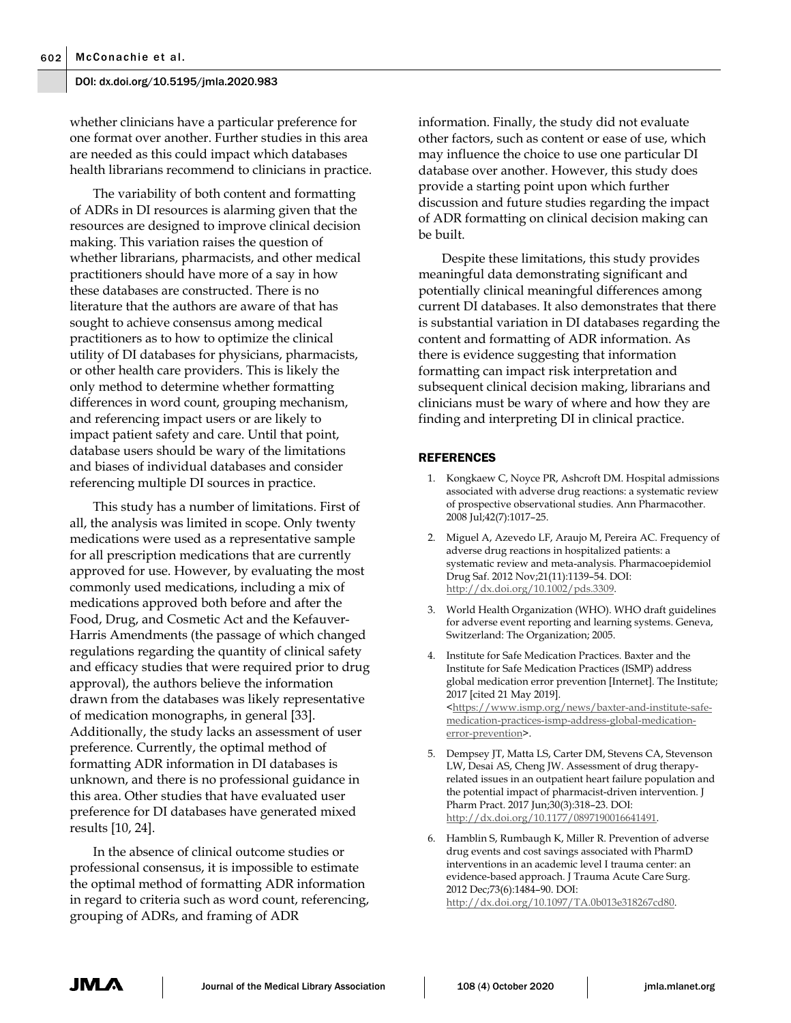whether clinicians have a particular preference for one format over another. Further studies in this area are needed as this could impact which databases health librarians recommend to clinicians in practice.

The variability of both content and formatting of ADRs in DI resources is alarming given that the resources are designed to improve clinical decision making. This variation raises the question of whether librarians, pharmacists, and other medical practitioners should have more of a say in how these databases are constructed. There is no literature that the authors are aware of that has sought to achieve consensus among medical practitioners as to how to optimize the clinical utility of DI databases for physicians, pharmacists, or other health care providers. This is likely the only method to determine whether formatting differences in word count, grouping mechanism, and referencing impact users or are likely to impact patient safety and care. Until that point, database users should be wary of the limitations and biases of individual databases and consider referencing multiple DI sources in practice.

This study has a number of limitations. First of all, the analysis was limited in scope. Only twenty medications were used as a representative sample for all prescription medications that are currently approved for use. However, by evaluating the most commonly used medications, including a mix of medications approved both before and after the Food, Drug, and Cosmetic Act and the Kefauver-Harris Amendments (the passage of which changed regulations regarding the quantity of clinical safety and efficacy studies that were required prior to drug approval), the authors believe the information drawn from the databases was likely representative of medication monographs, in general [33]. Additionally, the study lacks an assessment of user preference. Currently, the optimal method of formatting ADR information in DI databases is unknown, and there is no professional guidance in this area. Other studies that have evaluated user preference for DI databases have generated mixed results [10, 24].

In the absence of clinical outcome studies or professional consensus, it is impossible to estimate the optimal method of formatting ADR information in regard to criteria such as word count, referencing, grouping of ADRs, and framing of ADR

information. Finally, the study did not evaluate other factors, such as content or ease of use, which may influence the choice to use one particular DI database over another. However, this study does provide a starting point upon which further discussion and future studies regarding the impact of ADR formatting on clinical decision making can be built.

Despite these limitations, this study provides meaningful data demonstrating significant and potentially clinical meaningful differences among current DI databases. It also demonstrates that there is substantial variation in DI databases regarding the content and formatting of ADR information. As there is evidence suggesting that information formatting can impact risk interpretation and subsequent clinical decision making, librarians and clinicians must be wary of where and how they are finding and interpreting DI in clinical practice.

## **REFERENCES**

- 1. Kongkaew C, Noyce PR, Ashcroft DM. Hospital admissions associated with adverse drug reactions: a systematic review of prospective observational studies. Ann Pharmacother. 2008 Jul;42(7):1017–25.
- 2. Miguel A, Azevedo LF, Araujo M, Pereira AC. Frequency of adverse drug reactions in hospitalized patients: a systematic review and meta-analysis. Pharmacoepidemiol Drug Saf. 2012 Nov;21(11):1139–54. DOI: [http://dx.doi.org/10.1002/pds.3309.](http://dx.doi.org/10.1002/pds.3309)
- 3. World Health Organization (WHO). WHO draft guidelines for adverse event reporting and learning systems. Geneva, Switzerland: The Organization; 2005.
- 4. Institute for Safe Medication Practices. Baxter and the Institute for Safe Medication Practices (ISMP) address global medication error prevention [Internet]. The Institute; 2017 [cited 21 May 2019]. [<https://www.ismp.org/news/baxter-and-institute-safe](https://www.ismp.org/news/baxter-and-institute-safe-medication-practices-ismp-address-global-medication-error-prevention)[medication-practices-ismp-address-global-medication](https://www.ismp.org/news/baxter-and-institute-safe-medication-practices-ismp-address-global-medication-error-prevention)[error-prevention>](https://www.ismp.org/news/baxter-and-institute-safe-medication-practices-ismp-address-global-medication-error-prevention).
- 5. Dempsey JT, Matta LS, Carter DM, Stevens CA, Stevenson LW, Desai AS, Cheng JW. Assessment of drug therapyrelated issues in an outpatient heart failure population and the potential impact of pharmacist-driven intervention. J Pharm Pract. 2017 Jun;30(3):318–23. DOI: [http://dx.doi.org/10.1177/0897190016641491.](http://dx.doi.org/10.1177/0897190016641491)
- 6. Hamblin S, Rumbaugh K, Miller R. Prevention of adverse drug events and cost savings associated with PharmD interventions in an academic level I trauma center: an evidence-based approach. J Trauma Acute Care Surg. 2012 Dec;73(6):1484–90. DOI: [http://dx.doi.org/10.1097/TA.0b013e318267cd80.](http://dx.doi.org/10.1097/TA.0b013e318267cd80)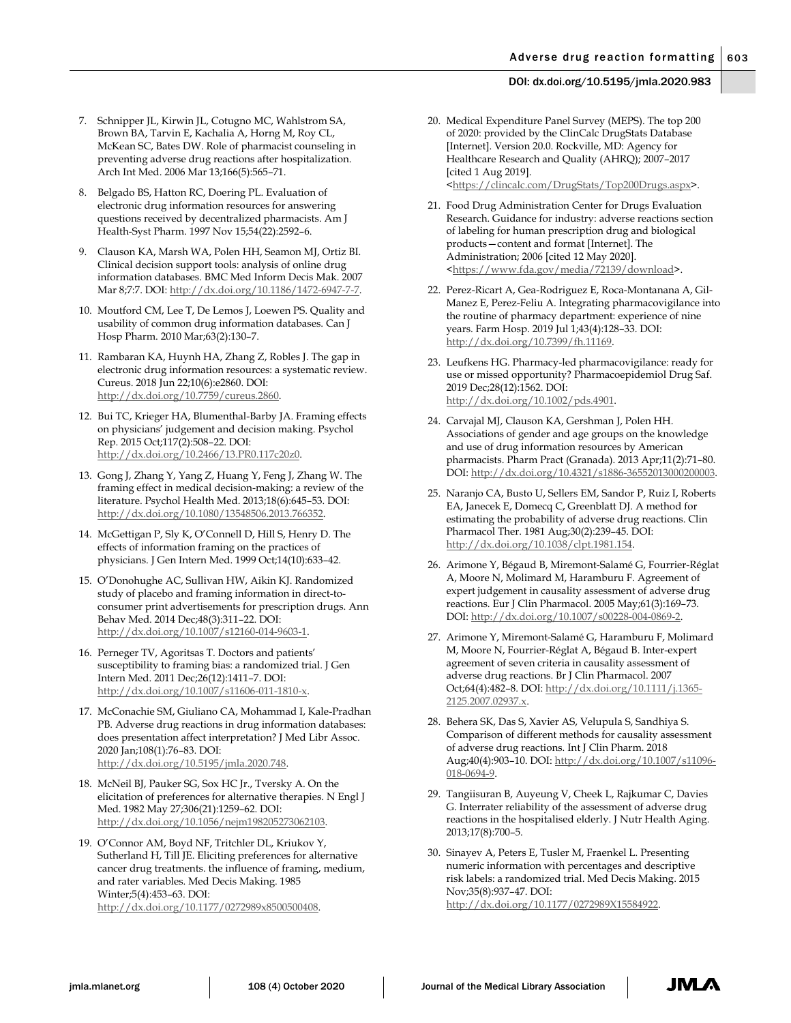- 7. Schnipper JL, Kirwin JL, Cotugno MC, Wahlstrom SA, Brown BA, Tarvin E, Kachalia A, Horng M, Roy CL, McKean SC, Bates DW. Role of pharmacist counseling in preventing adverse drug reactions after hospitalization. Arch Int Med. 2006 Mar 13;166(5):565–71.
- 8. Belgado BS, Hatton RC, Doering PL. Evaluation of electronic drug information resources for answering questions received by decentralized pharmacists. Am J Health-Syst Pharm. 1997 Nov 15;54(22):2592–6.
- 9. Clauson KA, Marsh WA, Polen HH, Seamon MJ, Ortiz BI. Clinical decision support tools: analysis of online drug information databases. BMC Med Inform Decis Mak. 2007 Mar 8;7:7. DOI[: http://dx.doi.org/10.1186/1472-6947-7-7.](http://dx.doi.org/10.1186/1472-6947-7-7)
- 10. Moutford CM, Lee T, De Lemos J, Loewen PS. Quality and usability of common drug information databases. Can J Hosp Pharm. 2010 Mar;63(2):130–7.
- 11. Rambaran KA, Huynh HA, Zhang Z, Robles J. The gap in electronic drug information resources: a systematic review. Cureus. 2018 Jun 22;10(6):e2860. DOI: [http://dx.doi.org/10.7759/cureus.2860.](http://dx.doi.org/10.7759/cureus.2860)
- 12. Bui TC, Krieger HA, Blumenthal-Barby JA. Framing effects on physicians' judgement and decision making. Psychol Rep. 2015 Oct;117(2):508–22. DOI: [http://dx.doi.org/10.2466/13.PR0.117c20z0.](http://dx.doi.org/10.2466/13.PR0.117c20z0)
- 13. Gong J, Zhang Y, Yang Z, Huang Y, Feng J, Zhang W. The framing effect in medical decision-making: a review of the literature. Psychol Health Med. 2013;18(6):645–53. DOI: [http://dx.doi.org/10.1080/13548506.2013.766352.](http://dx.doi.org/10.1080/13548506.2013.766352)
- 14. McGettigan P, Sly K, O'Connell D, Hill S, Henry D. The effects of information framing on the practices of physicians. J Gen Intern Med. 1999 Oct;14(10):633–42.
- 15. O'Donohughe AC, Sullivan HW, Aikin KJ. Randomized study of placebo and framing information in direct-toconsumer print advertisements for prescription drugs. Ann Behav Med. 2014 Dec;48(3):311–22. DOI: [http://dx.doi.org/10.1007/s12160-014-9603-1.](http://dx.doi.org/10.1007/s12160-014-9603-1)
- 16. Perneger TV, Agoritsas T. Doctors and patients' susceptibility to framing bias: a randomized trial. J Gen Intern Med. 2011 Dec;26(12):1411–7. DOI: [http://dx.doi.org/10.1007/s11606-011-1810-x.](http://dx.doi.org/10.1007/s11606-011-1810-x)
- 17. McConachie SM, Giuliano CA, Mohammad I, Kale-Pradhan PB. Adverse drug reactions in drug information databases: does presentation affect interpretation? J Med Libr Assoc. 2020 Jan;108(1):76–83. DOI: [http://dx.doi.org/10.5195/jmla.2020.748.](http://dx.doi.org/10.5195/jmla.2020.748)
- 18. McNeil BJ, Pauker SG, Sox HC Jr., Tversky A. On the elicitation of preferences for alternative therapies. N Engl J Med. 1982 May 27;306(21):1259–62. DOI: [http://dx.doi.org/10.1056/nejm198205273062103.](http://dx.doi.org/10.1056/nejm198205273062103)
- 19. O'Connor AM, Boyd NF, Tritchler DL, Kriukov Y, Sutherland H, Till JE. Eliciting preferences for alternative cancer drug treatments. the influence of framing, medium, and rater variables. Med Decis Making. 1985 Winter;5(4):453–63. DOI: [http://dx.doi.org/10.1177/0272989x8500500408.](http://dx.doi.org/10.1177/0272989x8500500408)
- 20. Medical Expenditure Panel Survey (MEPS). The top 200 of 2020: provided by the ClinCalc DrugStats Database [Internet]. Version 20.0. Rockville, MD: Agency for Healthcare Research and Quality (AHRQ); 2007–2017 [cited 1 Aug 2019]. [<https://clincalc.com/DrugStats/Top200Drugs.aspx>](https://clincalc.com/DrugStats/Top200Drugs.aspx).
- 21. Food Drug Administration Center for Drugs Evaluation Research. Guidance for industry: adverse reactions section of labeling for human prescription drug and biological products—content and format [Internet]. The Administration; 2006 [cited 12 May 2020]. [<https://www.fda.gov/media/72139/download>](https://www.fda.gov/media/72139/download).
- 22. Perez-Ricart A, Gea-Rodriguez E, Roca-Montanana A, Gil-Manez E, Perez-Feliu A. Integrating pharmacovigilance into the routine of pharmacy department: experience of nine years. Farm Hosp. 2019 Jul 1;43(4):128–33. DOI: [http://dx.doi.org/10.7399/fh.11169.](http://dx.doi.org/10.7399/fh.11169)
- 23. Leufkens HG. Pharmacy-led pharmacovigilance: ready for use or missed opportunity? Pharmacoepidemiol Drug Saf. 2019 Dec;28(12):1562. DOI: [http://dx.doi.org/10.1002/pds.4901.](http://dx.doi.org/10.1002/pds.4901)
- 24. Carvajal MJ, Clauson KA, Gershman J, Polen HH. Associations of gender and age groups on the knowledge and use of drug information resources by American pharmacists. Pharm Pract (Granada). 2013 Apr;11(2):71–80. DOI: [http://dx.doi.org/10.4321/s1886-36552013000200003.](http://dx.doi.org/10.4321/s1886-36552013000200003)
- 25. Naranjo CA, Busto U, Sellers EM, Sandor P, Ruiz I, Roberts EA, Janecek E, Domecq C, Greenblatt DJ. A method for estimating the probability of adverse drug reactions. Clin Pharmacol Ther. 1981 Aug;30(2):239–45. DOI: [http://dx.doi.org/10.1038/clpt.1981.154.](http://dx.doi.org/10.1038/clpt.1981.154)
- 26. Arimone Y, Bégaud B, Miremont-Salamé G, Fourrier-Réglat A, Moore N, Molimard M, Haramburu F. Agreement of expert judgement in causality assessment of adverse drug reactions. Eur J Clin Pharmacol. 2005 May;61(3):169–73. DOI: [http://dx.doi.org/10.1007/s00228-004-0869-2.](http://dx.doi.org/10.1007/s00228-004-0869-2)
- 27. Arimone Y, Miremont-Salamé G, Haramburu F, Molimard M, Moore N, Fourrier-Réglat A, Bégaud B. Inter-expert agreement of seven criteria in causality assessment of adverse drug reactions. Br J Clin Pharmacol. 2007 Oct;64(4):482–8. DOI[: http://dx.doi.org/10.1111/j.1365-](http://dx.doi.org/10.1111/j.1365-2125.2007.02937.x) [2125.2007.02937.x.](http://dx.doi.org/10.1111/j.1365-2125.2007.02937.x)
- 28. Behera SK, Das S, Xavier AS, Velupula S, Sandhiya S. Comparison of different methods for causality assessment of adverse drug reactions. Int J Clin Pharm. 2018 Aug;40(4):903–10. DOI[: http://dx.doi.org/10.1007/s11096-](http://dx.doi.org/10.1007/s11096-018-0694-9) [018-0694-9.](http://dx.doi.org/10.1007/s11096-018-0694-9)
- 29. Tangiisuran B, Auyeung V, Cheek L, Rajkumar C, Davies G. Interrater reliability of the assessment of adverse drug reactions in the hospitalised elderly. J Nutr Health Aging. 2013;17(8):700–5.
- 30. Sinayev A, Peters E, Tusler M, Fraenkel L. Presenting numeric information with percentages and descriptive risk labels: a randomized trial. Med Decis Making. 2015 Nov;35(8):937–47. DOI: [http://dx.doi.org/10.1177/0272989X15584922.](http://dx.doi.org/10.1177/0272989X15584922)